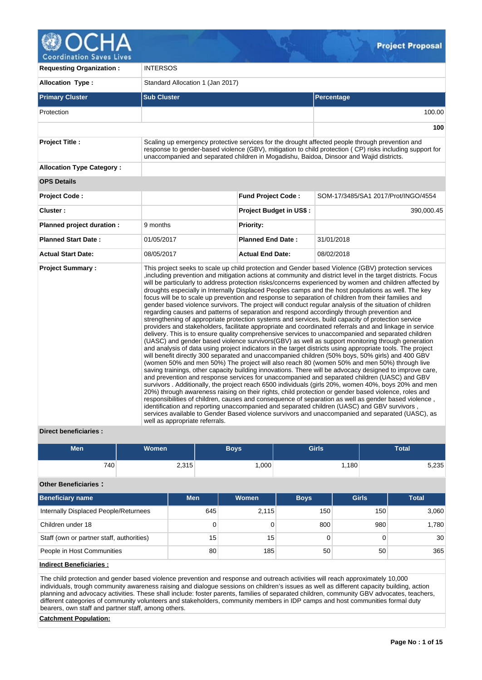

**Requesting Organization :** INTERSOS **Allocation Type :** Standard Allocation 1 (Jan 2017) **Primary Cluster Sub Cluster Sub Cluster** Sub Cluster Sub Cluster Sub Cluster Sub Cluster Sub Cluster Sub Cluster Protection 100.00 **100 Project Title :** Scaling up emergency protective services for the drought affected people through prevention and response to gender-based violence (GBV), mitigation to child protection ( CP) risks including support for unaccompanied and separated children in Mogadishu, Baidoa, Dinsoor and Wajid districts. **Allocation Type Category : OPS Details Project Code : Fund Project Code :** SOM-17/3485/SA1 2017/Prot/INGO/4554 **Cluster : Project Budget in US\$ :** 390,000.45 **Planned project duration :** 9 months **Planned Priority: Planned Start Date :** 01/05/2017 **Planned End Date :** 31/01/2018 **Actual Start Date:** 08/05/2017 **Actual End Date:** 08/02/2018 **Project Summary :** This project seeks to scale up child protection and Gender based Violence (GBV) protection services ,including prevention and mitigation actions at community and district level in the target districts. Focus will be particularly to address protection risks/concerns experienced by women and children affected by droughts especially in Internally Displaced Peoples camps and the host populations as well. The key focus will be to scale up prevention and response to separation of children from their families and gender based violence survivors. The project will conduct regular analysis of the situation of children regarding causes and patterns of separation and respond accordingly through prevention and strengthening of appropriate protection systems and services, build capacity of protection service providers and stakeholders, facilitate appropriate and coordinated referrals and and linkage in service delivery. This is to ensure quality comprehensive services to unaccompanied and separated children (UASC) and gender based violence survivors(GBV) as well as support monitoring through generation and analysis of data using project indicators in the target districts using appropriate tools. The project will benefit directly 300 separated and unaccompanied children (50% boys, 50% girls) and 400 GBV (women 50% and men 50%) The project will also reach 80 (women 50% and men 50%) through live saving trainings, other capacity building innovations. There will be advocacy designed to improve care, and prevention and response services for unaccompanied and separated children (UASC) and GBV survivors . Additionally, the project reach 6500 individuals (girls 20%, women 40%, boys 20% and men 20%) through awareness raising on their rights, child protection or gender based violence, roles and responsibilities of children, causes and consequence of separation as well as gender based violence , identification and reporting unaccompanied and separated children (UASC) and GBV survivors services available to Gender Based violence survivors and unaccompanied and separated (UASC), as well as appropriate referrals.

## **Direct beneficiaries :**

| <b>Men</b> | <b>Women</b> | <b>Boys</b> | <b>Girls</b> | <b>Total</b> |  |  |
|------------|--------------|-------------|--------------|--------------|--|--|
| 740        | 2,315        | ,000        | ,180         | 5,235        |  |  |

## **Other Beneficiaries :**

| <b>Beneficiary name</b>                   | <b>Men</b> | Women | <b>Boys</b> | <b>Girls</b> | <b>Total</b>    |
|-------------------------------------------|------------|-------|-------------|--------------|-----------------|
| Internally Displaced People/Returnees     | 645        | 2,115 | 150         | 150          | 3,060           |
| Children under 18                         | 0          |       | 800         | 980          | 1,780           |
| Staff (own or partner staff, authorities) | 15         | 15    |             |              | 30 <sup>1</sup> |
| People in Host Communities                | 80         | 185   | 50          | 50           | 365             |

## **Indirect Beneficiaries :**

The child protection and gender based violence prevention and response and outreach activities will reach approximately 10,000 individuals, trough community awareness raising and dialogue sessions on children's issues as well as different capacity building, action planning and advocacy activities. These shall include: foster parents, families of separated children, community GBV advocates, teachers, different categories of community volunteers and stakeholders, community members in IDP camps and host communities formal duty bearers, own staff and partner staff, among others.

**Catchment Population:**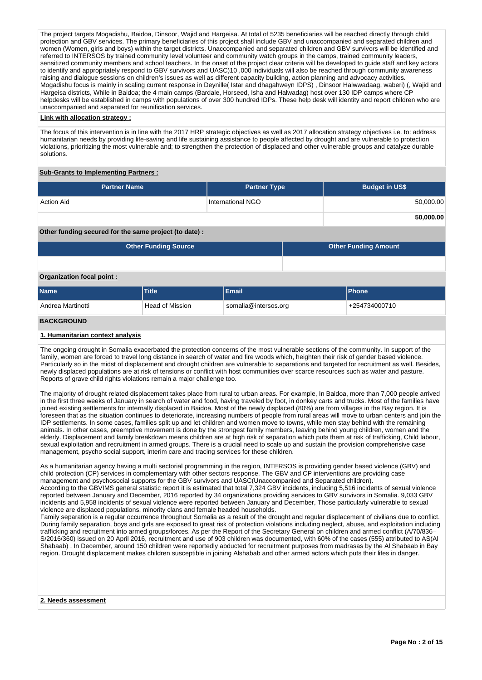The project targets Mogadishu, Baidoa, Dinsoor, Wajid and Hargeisa. At total of 5235 beneficiaries will be reached directly through child protection and GBV services. The primary beneficiaries of this project shall include GBV and unaccompanied and separated children and women (Women, girls and boys) within the target districts. Unaccompanied and separated children and GBV survivors will be identified and referred to INTERSOS by trained community level volunteer and community watch groups in the camps, trained community leaders, sensitized community members and school teachers. In the onset of the project clear criteria will be developed to guide staff and key actors to identify and appropriately respond to GBV survivors and UASC)10 ,000 individuals will also be reached through community awareness raising and dialogue sessions on children's issues as well as different capacity building, action planning and advocacy activities. Mogadishu focus is mainly in scaling current response in Deynille( Istar and dhagahweyn IDPS) , Dinsoor Halwwadaag, waberi) (, Wajid and Hargeisa districts, While in Baidoa; the 4 main camps (Bardale, Horseed, Isha and Halwadag) host over 130 IDP camps where CP helpdesks will be established in camps with populations of over 300 hundred IDPs. These help desk will identity and report children who are unaccompanied and separated for reunification services.

### **Link with allocation strategy :**

The focus of this intervention is in line with the 2017 HRP strategic objectives as well as 2017 allocation strategy objectives i.e. to: address humanitarian needs by providing life-saving and life sustaining assistance to people affected by drought and are vulnerable to protection violations, prioritizing the most vulnerable and; to strengthen the protection of displaced and other vulnerable groups and catalyze durable solutions.

## **Sub-Grants to Implementing Partners :**

| <b>Partner Name</b>                                    | <b>Partner Type</b> | <b>Budget in US\$</b>       |           |
|--------------------------------------------------------|---------------------|-----------------------------|-----------|
| <b>Action Aid</b>                                      | International NGO   |                             | 50,000.00 |
|                                                        |                     |                             | 50,000.00 |
| Other funding secured for the same project (to date) : |                     |                             |           |
| <b>Other Funding Source</b>                            |                     | <b>Other Funding Amount</b> |           |
|                                                        |                     |                             |           |

## **Organization focal point :**

| <b>Name</b>       | Title                  | Email                | <b>IPhone</b> |
|-------------------|------------------------|----------------------|---------------|
| Andrea Martinotti | <b>Head of Mission</b> | somalia@intersos.org | +254734000710 |
| <b>BACKGROUND</b> |                        |                      |               |

#### **1. Humanitarian context analysis**

The ongoing drought in Somalia exacerbated the protection concerns of the most vulnerable sections of the community. In support of the family, women are forced to travel long distance in search of water and fire woods which, heighten their risk of gender based violence. Particularly so in the midst of displacement and drought children are vulnerable to separations and targeted for recruitment as well. Besides, newly displaced populations are at risk of tensions or conflict with host communities over scarce resources such as water and pasture. Reports of grave child rights violations remain a major challenge too.

The majority of drought related displacement takes place from rural to urban areas. For example, In Baidoa, more than 7,000 people arrived in the first three weeks of January in search of water and food, having traveled by foot, in donkey carts and trucks. Most of the families have joined existing settlements for internally displaced in Baidoa. Most of the newly displaced (80%) are from villages in the Bay region. It is foreseen that as the situation continues to deteriorate, increasing numbers of people from rural areas will move to urban centers and join the IDP settlements. In some cases, families split up and let children and women move to towns, while men stay behind with the remaining animals. In other cases, preemptive movement is done by the strongest family members, leaving behind young children, women and the elderly. Displacement and family breakdown means children are at high risk of separation which puts them at risk of trafficking, Child labour, sexual exploitation and recruitment in armed groups. There is a crucial need to scale up and sustain the provision comprehensive case management, psycho social support, interim care and tracing services for these children.

As a humanitarian agency having a multi sectorial programming in the region, INTERSOS is providing gender based violence (GBV) and child protection (CP) services in complementary with other sectors response. The GBV and CP interventions are providing case management and psychosocial supports for the GBV survivors and UASC(Unaccompanied and Separated children).

According to the GBVIMS general statistic report it is estimated that total 7,324 GBV incidents, including 5,516 incidents of sexual violence reported between January and December, 2016 reported by 34 organizations providing services to GBV survivors in Somalia. 9,033 GBV incidents and 5,958 incidents of sexual violence were reported between January and December, Those particularly vulnerable to sexual violence are displaced populations, minority clans and female headed households.

Family separation is a regular occurrence throughout Somalia as a result of the drought and regular displacement of civilians due to conflict. During family separation, boys and girls are exposed to great risk of protection violations including neglect, abuse, and exploitation including trafficking and recruitment into armed groups/forces. As per the Report of the Secretary General on children and armed conflict (A/70/836– S/2016/360) issued on 20 April 2016, recruitment and use of 903 children was documented, with 60% of the cases (555) attributed to AS(Al Shabaab) . In December, around 150 children were reportedly abducted for recruitment purposes from madrasas by the Al Shabaab in Bay region. Drought displacement makes children susceptible in joining Alshabab and other armed actors which puts their lifes in danger.

## **2. Needs assessment**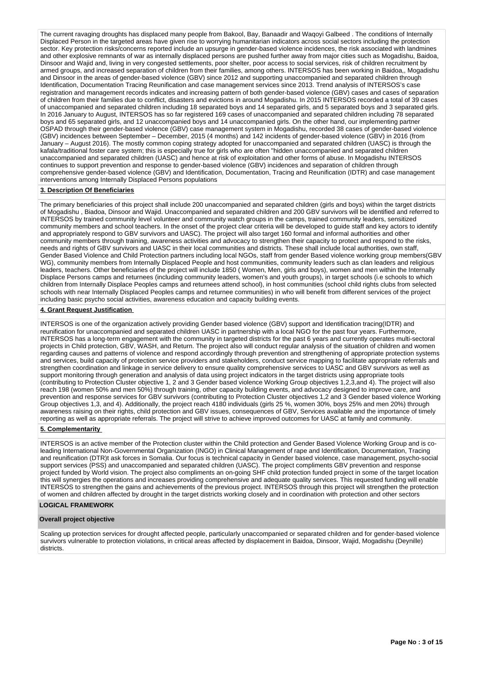The current ravaging droughts has displaced many people from Bakool, Bay, Banaadir and Waqoyi Galbeed . The conditions of Internally Displaced Person in the targeted areas have given rise to worrying humanitarian indicators across social sectors including the protection sector. Key protection risks/concerns reported include an upsurge in gender-based violence incidences, the risk associated with landmines and other explosive remnants of war as internally displaced persons are pushed further away from major cities such as Mogadishu, Baidoa, Dinsoor and Wajid and, living in very congested settlements, poor shelter, poor access to social services, risk of children recruitment by armed groups, and increased separation of children from their families, among others. INTERSOS has been working in Baidoa,, Mogadishu and Dinsoor in the areas of gender-based violence (GBV) since 2012 and supporting unaccompanied and separated children through Identification, Documentation Tracing Reunification and case management services since 2013. Trend analysis of INTERSOS's case registration and management records indicates and increasing pattern of both gender-based violence (GBV) cases and cases of separation of children from their families due to conflict, disasters and evictions in around Mogadishu. In 2015 INTERSOS recorded a total of 39 cases of unaccompanied and separated children including 18 separated boys and 14 separated girls, and 5 separated boys and 3 separated girls. In 2016 January to August, INTERSOS has so far registered 169 cases of unaccompanied and separated children including 78 separated boys and 65 separated girls, and 12 unaccompanied boys and 14 unaccompanied girls. On the other hand, our implementing partner OSPAD through their gender-based violence (GBV) case management system in Mogadishu, recorded 38 cases of gender-based violence (GBV) incidences between September – December, 2015 (4 months) and 142 incidents of gender-based violence (GBV) in 2016 (from January – August 2016). The mostly common coping strategy adopted for unaccompanied and separated children (UASC) is through the kafala/traditional foster care system; this is especially true for girls who are often "hidden unaccompanied and separated children unaccompanied and separated children (UASC) and hence at risk of exploitation and other forms of abuse. In Mogadishu INTERSOS continues to support prevention and response to gender-based violence (GBV) incidences and separation of children through comprehensive gender-based violence (GBV) and Identification, Documentation, Tracing and Reunification (IDTR) and case management interventions among Internally Displaced Persons populations

#### **3. Description Of Beneficiaries**

The primary beneficiaries of this project shall include 200 unaccompanied and separated children (girls and boys) within the target districts of Mogadishu , Biadoa, Dinsoor and Wajid. Unaccompanied and separated children and 200 GBV survivors will be identified and referred to INTERSOS by trained community level volunteer and community watch groups in the camps, trained community leaders, sensitized community members and school teachers. In the onset of the project clear criteria will be developed to guide staff and key actors to identify and appropriately respond to GBV survivors and UASC). The project will also target 160 formal and informal authorities and other community members through training, awareness activities and advocacy to strengthen their capacity to protect and respond to the risks, needs and rights of GBV survivors and UASC in their local communities and districts. These shall include local authorities, own staff, Gender Based Violence and Child Protection partners including local NGOs, staff from gender Based violence working group members(GBV WG), community members from Internally Displaced People and host communities, community leaders such as clan leaders and religious leaders, teachers. Other beneficiaries of the project will include 1850 ( Women, Men, girls and boys), women and men within the Internally Displace Persons camps and returnees (including community leaders, women's and youth groups), in target schools (i.e schools to which children from Internally Displace Peoples camps and returnees attend school), in host communities (school child rights clubs from selected schools with near Internally Displaced Peoples camps and returnee communities) in who will benefit from different services of the project including basic psycho social activities, awareness education and capacity building events.

#### **4. Grant Request Justification**

INTERSOS is one of the organization actively providing Gender based violence (GBV) support and Identification tracing(IDTR) and reunification for unaccompanied and separated children UASC in partnership with a local NGO for the past four years. Furthermore, INTERSOS has a long-term engagement with the community in targeted districts for the past 6 years and currently operates multi-sectoral projects in Child protection, GBV, WASH, and Return. The project also will conduct regular analysis of the situation of children and women regarding causes and patterns of violence and respond accordingly through prevention and strengthening of appropriate protection systems and services, build capacity of protection service providers and stakeholders, conduct service mapping to facilitate appropriate referrals and strengthen coordination and linkage in service delivery to ensure quality comprehensive services to UASC and GBV survivors as well as support monitoring through generation and analysis of data using project indicators in the target districts using appropriate tools (contributing to Protection Cluster objective 1, 2 and 3 Gender based violence Working Group objectives 1,2,3,and 4). The project will also reach 198 (women 50% and men 50%) through training, other capacity building events, and advocacy designed to improve care, and prevention and response services for GBV survivors (contributing to Protection Cluster objectives 1,2 and 3 Gender based violence Working Group objectives 1,3, and 4). Additionally, the project reach 4180 individuals (girls 25 %, women 30%, boys 25% and men 20%) through awareness raising on their rights, child protection and GBV issues, consequences of GBV, Services available and the importance of timely reporting as well as appropriate referrals. The project will strive to achieve improved outcomes for UASC at family and community.

## **5. Complementarity**

INTERSOS is an active member of the Protection cluster within the Child protection and Gender Based Violence Working Group and is coleading International Non-Governmental Organization (INGO) in Clinical Management of rape and Identification, Documentation, Tracing and reunification (DTR)t ask forces in Somalia. Our focus is technical capacity in Gender based violence, case management, psycho-social support services (PSS) and unaccompanied and separated children (UASC). The project compliments GBV prevention and response project funded by World vision. The project also compliments an on-going SHF child protection funded project in some of the target location this will synergies the operations and increases providing comprehensive and adequate quality services. This requested funding will enable INTERSOS to strengthen the gains and achievements of the previous project. INTERSOS through this project will strengthen the protection of women and children affected by drought in the target districts working closely and in coordination with protection and other sectors

#### **LOGICAL FRAMEWORK**

### **Overall project objective**

Scaling up protection services for drought affected people, particularly unaccompanied or separated children and for gender-based violence survivors vulnerable to protection violations, in critical areas affected by displacement in Baidoa, Dinsoor, Wajid, Mogadishu (Deynille) districts.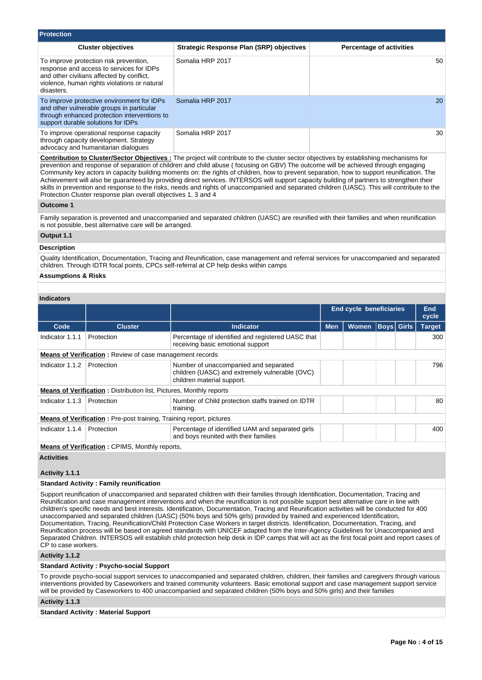| <b>Protection</b>                                                                                                                                                                             |                                          |                                 |
|-----------------------------------------------------------------------------------------------------------------------------------------------------------------------------------------------|------------------------------------------|---------------------------------|
| <b>Cluster objectives</b>                                                                                                                                                                     | Strategic Response Plan (SRP) objectives | <b>Percentage of activities</b> |
| To improve protection risk prevention,<br>response and access to services for IDPs<br>and other civilians affected by conflict,<br>violence, human rights violations or natural<br>disasters. | Somalia HRP 2017                         | 50                              |
| To improve protective environment for IDPs<br>and other vulnerable groups in particular<br>through enhanced protection interventions to<br>support durable solutions for IDPs                 | Somalia HRP 2017                         | 20                              |
| To improve operational response capacity<br>through capacity development. Strategy<br>advocacy and humanitarian dialogues                                                                     | Somalia HRP 2017                         | 30                              |

**Contribution to Cluster/Sector Objectives :** The project will contribute to the cluster sector objectives by establishing mechanisms for prevention and response of separation of children and child abuse ( focusing on GBV) The outcome will be achieved through engaging Community key actors in capacity building moments on: the rights of children, how to prevent separation, how to support reunification. The Achievement will also be guaranteed by providing direct services. INTERSOS will support capacity building of partners to strengthen their skills in prevention and response to the risks, needs and rights of unaccompanied and separated children (UASC). This will contribute to the Protection Cluster response plan overall objectives 1, 3 and 4

#### **Outcome 1**

Family separation is prevented and unaccompanied and separated children (UASC) are reunified with their families and when reunification is not possible, best alternative care will be arranged.

## **Output 1.1**

#### **Description**

Quality Identification, Documentation, Tracing and Reunification, case management and referral services for unaccompanied and separated children. Through IDTR focal points, CPCs self-referral at CP help desks within camps

#### **Assumptions & Risks**

## **Indicators**

|                                                                            |                                                                            |                                                                                                                       |                                                 | End cycle beneficiaries |  |     | End<br>cycle  |  |  |
|----------------------------------------------------------------------------|----------------------------------------------------------------------------|-----------------------------------------------------------------------------------------------------------------------|-------------------------------------------------|-------------------------|--|-----|---------------|--|--|
| Code                                                                       | <b>Cluster</b>                                                             | <b>Indicator</b>                                                                                                      | <b>Boys Girls</b><br><b>Men</b><br><b>Women</b> |                         |  |     | <b>Target</b> |  |  |
| Indicator 1.1.1                                                            | Protection                                                                 | Percentage of identified and registered UASC that<br>receiving basic emotional support                                |                                                 |                         |  |     | 300           |  |  |
|                                                                            | <b>Means of Verification:</b> Review of case management records            |                                                                                                                       |                                                 |                         |  |     |               |  |  |
| Indicator 1.1.2                                                            | Protection                                                                 | Number of unaccompanied and separated<br>children (UASC) and extremely vulnerable (OVC)<br>children material support. |                                                 |                         |  |     | 796           |  |  |
|                                                                            | <b>Means of Verification:</b> Distribution list, Pictures, Monthly reports |                                                                                                                       |                                                 |                         |  |     |               |  |  |
| Indicator 1.1.3                                                            | Protection                                                                 | Number of Child protection staffs trained on IDTR<br>training.                                                        |                                                 |                         |  |     | 80            |  |  |
| <b>Means of Verification:</b> Pre-post training, Training report, pictures |                                                                            |                                                                                                                       |                                                 |                         |  |     |               |  |  |
| Indicator 1.1.4                                                            | Protection                                                                 | Percentage of identified UAM and separated girls<br>and boys reunited with their families                             |                                                 |                         |  | 400 |               |  |  |
|                                                                            | <b>Means of Verification: CPIMS, Monthly reports,</b>                      |                                                                                                                       |                                                 |                         |  |     |               |  |  |

## **Activities**

## **Activity 1.1.1**

## **Standard Activity : Family reunification**

Support reunification of unaccompanied and separated children with their families through Identification, Documentation, Tracing and Reunification and case management interventions and when the reunification is not possible support best alternative care in line with children's specific needs and best interests. Identification, Documentation, Tracing and Reunification activities will be conducted for 400 unaccompanied and separated children (UASC) (50% boys and 50% girls) provided by trained and experienced Identification, Documentation, Tracing, Reunification/Child Protection Case Workers in target districts. Identification, Documentation, Tracing, and Reunification process will be based on agreed standards with UNICEF adapted from the Inter-Agency Guidelines for Unaccompanied and Separated Children. INTERSOS will establish child protection help desk in IDP camps that will act as the first focal point and report cases of CP to case workers.

## **Activity 1.1.2**

#### **Standard Activity : Psycho-social Support**

To provide psycho-social support services to unaccompanied and separated children, children, their families and caregivers through various interventions provided by Caseworkers and trained community volunteers. Basic emotional support and case management support service will be provided by Caseworkers to 400 unaccompanied and separated children (50% boys and 50% girls) and their families

## **Activity 1.1.3**

**Standard Activity : Material Support**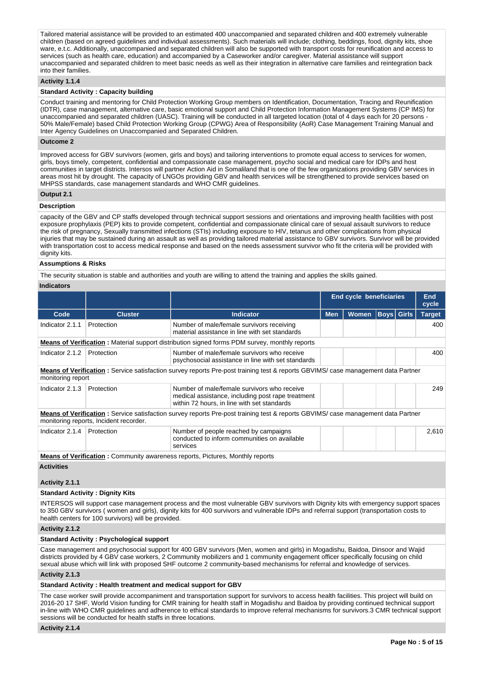Tailored material assistance will be provided to an estimated 400 unaccompanied and separated children and 400 extremely vulnerable children (based on agreed guidelines and individual assessments). Such materials will include; clothing, beddings, food, dignity kits, shoe ware, e.t.c. Additionally, unaccompanied and separated children will also be supported with transport costs for reunification and access to services (such as health care, education) and accompanied by a Caseworker and/or caregiver. Material assistance will support unaccompanied and separated children to meet basic needs as well as their integration in alternative care families and reintegration back into their families.

## **Activity 1.1.4**

## **Standard Activity : Capacity building**

Conduct training and mentoring for Child Protection Working Group members on Identification, Documentation, Tracing and Reunification (IDTR), case management, alternative care, basic emotional support and Child Protection Information Management Systems (CP IMS) for unaccompanied and separated children (UASC). Training will be conducted in all targeted location (total of 4 days each for 20 persons - 50% Male/Female) based Child Protection Working Group (CPWG) Area of Responsibility (AoR) Case Management Training Manual and Inter Agency Guidelines on Unaccompanied and Separated Children.

#### **Outcome 2**

Improved access for GBV survivors (women, girls and boys) and tailoring interventions to promote equal access to services for women, girls, boys timely, competent, confidential and compassionate case management, psycho social and medical care for IDPs and host communities in target districts. Intersos will partner Action Aid in Somaliland that is one of the few organizations providing GBV services in areas most hit by drought. The capacity of LNGOs providing GBV and health services will be strengthened to provide services based on MHPSS standards, case management standards and WHO CMR guidelines.

#### **Output 2.1**

### **Description**

capacity of the GBV and CP staffs developed through technical support sessions and orientations and improving health facilities with post exposure prophylaxis (PEP) kits to provide competent, confidential and compassionate clinical care of sexual assault survivors to reduce the risk of pregnancy, Sexually transmitted infections (STIs) including exposure to HIV, tetanus and other complications from physical injuries that may be sustained during an assault as well as providing tailored material assistance to GBV survivors. Survivor will be provided with transportation cost to access medical response and based on the needs assessment survivor who fit the criteria will be provided with dignity kits.

## **Assumptions & Risks**

The security situation is stable and authorities and youth are willing to attend the training and applies the skills gained.

## **Indicators**

|                     |                                        |                                                                                                                                                 |                                                 | <b>End cycle beneficiaries</b> |  |  | End<br>cycle  |
|---------------------|----------------------------------------|-------------------------------------------------------------------------------------------------------------------------------------------------|-------------------------------------------------|--------------------------------|--|--|---------------|
| Code                | <b>Cluster</b>                         | <b>Indicator</b>                                                                                                                                | <b>Women</b><br><b>Boys Girls</b><br><b>Men</b> |                                |  |  | <b>Target</b> |
| Indicator 2.1.1     | Protection                             | Number of male/female survivors receiving<br>material assistance in line with set standards                                                     |                                                 |                                |  |  | 400           |
|                     |                                        | <b>Means of Verification:</b> Material support distribution signed forms PDM survey, monthly reports                                            |                                                 |                                |  |  |               |
| Indicator 2.1.2     | Protection                             | Number of male/female survivors who receive<br>psychosocial assistance in line with set standards                                               |                                                 |                                |  |  |               |
| monitoring report   |                                        | <b>Means of Verification</b> : Service satisfaction survey reports Pre-post training test & reports GBVIMS/ case management data Partner        |                                                 |                                |  |  |               |
| Indicator 2.1.3     | Protection                             | Number of male/female survivors who receive<br>medical assistance, including post rape treatment<br>within 72 hours, in line with set standards |                                                 |                                |  |  | 249           |
|                     | monitoring reports, Incident recorder. | <b>Means of Verification</b> : Service satisfaction survey reports Pre-post training test & reports GBVIMS/ case management data Partner        |                                                 |                                |  |  |               |
| Indicator 2.1.4     | Protection                             | Number of people reached by campaigns<br>conducted to inform communities on available<br>services                                               |                                                 |                                |  |  | 2,610         |
|                     |                                        | <b>Means of Verification: Community awareness reports, Pictures, Monthly reports</b>                                                            |                                                 |                                |  |  |               |
| $A = 11.111 - 14.1$ |                                        |                                                                                                                                                 |                                                 |                                |  |  |               |

**Activities**

#### **Activity 2.1.1**

## **Standard Activity : Dignity Kits**

INTERSOS will support case management process and the most vulnerable GBV survivors with Dignity kits with emergency support spaces to 350 GBV survivors ( women and girls), dignity kits for 400 survivors and vulnerable IDPs and referral support (transportation costs to health centers for 100 survivors) will be provided.

## **Activity 2.1.2**

#### **Standard Activity : Psychological support**

Case management and psychosocial support for 400 GBV survivors (Men, women and girls) in Mogadishu, Baidoa, Dinsoor and Wajid districts provided by 4 GBV case workers, 2 Community mobilizers and 1 community engagement officer specifically focusing on child sexual abuse which will link with proposed SHF outcome 2 community-based mechanisms for referral and knowledge of services.

#### **Activity 2.1.3**

#### **Standard Activity : Health treatment and medical support for GBV**

The case worker swill provide accompaniment and transportation support for survivors to access health facilities. This project will build on 2016-20 17 SHF, World Vision funding for CMR training for health staff in Mogadishu and Baidoa by providing continued technical support in-line with WHO CMR guidelines and adherence to ethical standards to improve referral mechanisms for survivors.3 CMR technical support sessions will be conducted for health staffs in three locations.

#### **Activity 2.1.4**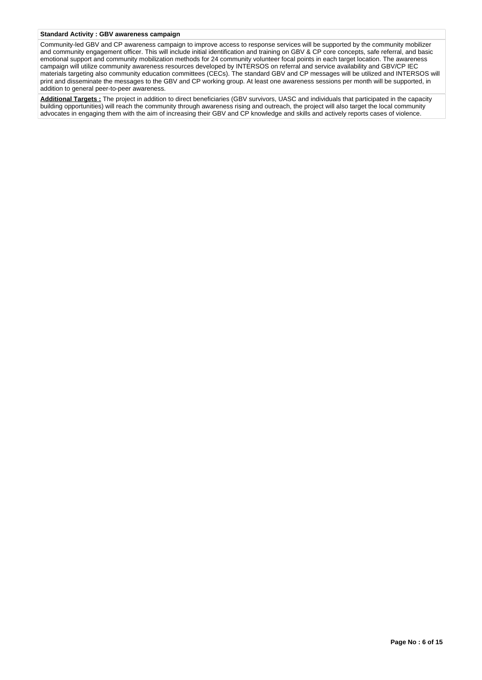## **Standard Activity : GBV awareness campaign**

Community-led GBV and CP awareness campaign to improve access to response services will be supported by the community mobilizer and community engagement officer. This will include initial identification and training on GBV & CP core concepts, safe referral, and basic emotional support and community mobilization methods for 24 community volunteer focal points in each target location. The awareness campaign will utilize community awareness resources developed by INTERSOS on referral and service availability and GBV/CP IEC materials targeting also community education committees (CECs). The standard GBV and CP messages will be utilized and INTERSOS will print and disseminate the messages to the GBV and CP working group. At least one awareness sessions per month will be supported, in addition to general peer-to-peer awareness.

**Additional Targets :** The project in addition to direct beneficiaries (GBV survivors, UASC and individuals that participated in the capacity building opportunities) will reach the community through awareness rising and outreach, the project will also target the local community advocates in engaging them with the aim of increasing their GBV and CP knowledge and skills and actively reports cases of violence.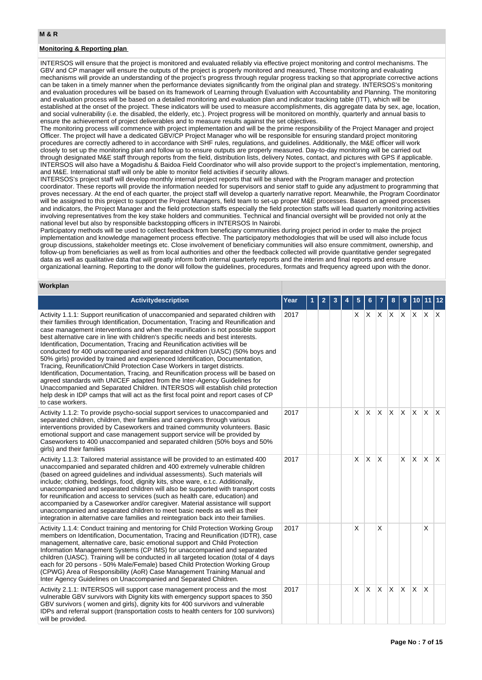## **Monitoring & Reporting plan**

INTERSOS will ensure that the project is monitored and evaluated reliably via effective project monitoring and control mechanisms. The GBV and CP manager will ensure the outputs of the project is properly monitored and measured, These monitoring and evaluating mechanisms will provide an understanding of the project's progress through regular progress tracking so that appropriate corrective actions can be taken in a timely manner when the performance deviates significantly from the original plan and strategy. INTERSOS's monitoring and evaluation procedures will be based on its framework of Learning through Evaluation with Accountability and Planning. The monitoring and evaluation process will be based on a detailed monitoring and evaluation plan and indicator tracking table (ITT), which will be established at the onset of the project. These indicators will be used to measure accomplishments, dis aggregate data by sex, age, location, and social vulnerability (i.e. the disabled, the elderly, etc.). Project progress will be monitored on monthly, quarterly and annual basis to ensure the achievement of project deliverables and to measure results against the set objectives.

The monitoring process will commence with project implementation and will be the prime responsibility of the Project Manager and project Officer. The project will have a dedicated GBV/CP Project Manager who will be responsible for ensuring standard project monitoring procedures are correctly adhered to in accordance with SHF rules, regulations, and guidelines. Additionally, the M&E officer will work closely to set up the monitoring plan and follow up to ensure outputs are properly measured. Day-to-day monitoring will be carried out through designated M&E staff through reports from the field, distribution lists, delivery Notes, contact, and pictures with GPS if applicable. INTERSOS will also have a Mogadishu & Baidoa Field Coordinator who will also provide support to the project's implementation, mentoring, and M&E. International staff will only be able to monitor field activities if security allows.

INTERSOS's project staff will develop monthly internal project reports that will be shared with the Program manager and protection coordinator. These reports will provide the information needed for supervisors and senior staff to guide any adjustment to programming that proves necessary. At the end of each quarter, the project staff will develop a quarterly narrative report. Meanwhile, the Program Coordinator will be assigned to this project to support the Project Managers, field team to set-up proper M&E processes. Based on agreed processes and indicators, the Project Manager and the field protection staffs especially the field protection staffs will lead quarterly monitoring activities involving representatives from the key stake holders and communities. Technical and financial oversight will be provided not only at the national level but also by responsible backstopping officers in INTERSOS In Nairobi.

Participatory methods will be used to collect feedback from beneficiary communities during project period in order to make the project implementation and knowledge management process effective. The participatory methodologies that will be used will also include focus group discussions, stakeholder meetings etc. Close involvement of beneficiary communities will also ensure commitment, ownership, and follow-up from beneficiaries as well as from local authorities and other the feedback collected will provide quantitative gender segregated data as well as qualitative data that will greatly inform both internal quarterly reports and the interim and final reports and ensure organizational learning. Reporting to the donor will follow the guidelines, procedures, formats and frequency agreed upon with the donor.

## **Workplan**

| Activitydescription                                                                                                                                                                                                                                                                                                                                                                                                                                                                                                                                                                                                                                                                                                                                                                                                                                                                                                                                                                                                                            | Year |  |  |    |          |     |         |              |              |              |                         |
|------------------------------------------------------------------------------------------------------------------------------------------------------------------------------------------------------------------------------------------------------------------------------------------------------------------------------------------------------------------------------------------------------------------------------------------------------------------------------------------------------------------------------------------------------------------------------------------------------------------------------------------------------------------------------------------------------------------------------------------------------------------------------------------------------------------------------------------------------------------------------------------------------------------------------------------------------------------------------------------------------------------------------------------------|------|--|--|----|----------|-----|---------|--------------|--------------|--------------|-------------------------|
| Activity 1.1.1: Support reunification of unaccompanied and separated children with<br>their families through Identification, Documentation, Tracing and Reunification and<br>case management interventions and when the reunification is not possible support<br>best alternative care in line with children's specific needs and best interests.<br>Identification, Documentation, Tracing and Reunification activities will be<br>conducted for 400 unaccompanied and separated children (UASC) (50% boys and<br>50% girls) provided by trained and experienced Identification, Documentation,<br>Tracing, Reunification/Child Protection Case Workers in target districts.<br>Identification, Documentation, Tracing, and Reunification process will be based on<br>agreed standards with UNICEF adapted from the Inter-Agency Guidelines for<br>Unaccompanied and Separated Children. INTERSOS will establish child protection<br>help desk in IDP camps that will act as the first focal point and report cases of CP<br>to case workers. | 2017 |  |  | X. | X        | ΙX. | $X$ $X$ |              | $\mathsf{X}$ | ΙX.          | $\mathsf{I} \mathsf{X}$ |
| Activity 1.1.2: To provide psycho-social support services to unaccompanied and<br>separated children, children, their families and caregivers through various<br>interventions provided by Caseworkers and trained community volunteers. Basic<br>emotional support and case management support service will be provided by<br>Caseworkers to 400 unaccompanied and separated children (50% boys and 50%<br>girls) and their families                                                                                                                                                                                                                                                                                                                                                                                                                                                                                                                                                                                                          | 2017 |  |  | X. | X        | IX. | X.      | $\mathsf{X}$ | X.           | <sup>X</sup> | $\mathsf{X}$            |
| Activity 1.1.3: Tailored material assistance will be provided to an estimated 400<br>unaccompanied and separated children and 400 extremely vulnerable children<br>(based on agreed quidelines and individual assessments). Such materials will<br>include; clothing, beddings, food, dignity kits, shoe ware, e.t.c. Additionally,<br>unaccompanied and separated children will also be supported with transport costs<br>for reunification and access to services (such as health care, education) and<br>accompanied by a Caseworker and/or caregiver. Material assistance will support<br>unaccompanied and separated children to meet basic needs as well as their<br>integration in alternative care families and reintegration back into their families.                                                                                                                                                                                                                                                                                | 2017 |  |  | X  | X        | X   |         | $\times$     | <b>X</b>     | ΙX.          | $\mathsf{X}$            |
| Activity 1.1.4: Conduct training and mentoring for Child Protection Working Group<br>members on Identification, Documentation, Tracing and Reunification (IDTR), case<br>management, alternative care, basic emotional support and Child Protection<br>Information Management Systems (CP IMS) for unaccompanied and separated<br>children (UASC). Training will be conducted in all targeted location (total of 4 days<br>each for 20 persons - 50% Male/Female) based Child Protection Working Group<br>(CPWG) Area of Responsibility (AoR) Case Management Training Manual and<br>Inter Agency Guidelines on Unaccompanied and Separated Children.                                                                                                                                                                                                                                                                                                                                                                                          | 2017 |  |  | X  |          | X   |         |              |              | X            |                         |
| Activity 2.1.1: INTERSOS will support case management process and the most<br>vulnerable GBV survivors with Dignity kits with emergency support spaces to 350<br>GBV survivors (women and girls), dignity kits for 400 survivors and vulnerable<br>IDPs and referral support (transportation costs to health centers for 100 survivors)<br>will be provided.                                                                                                                                                                                                                                                                                                                                                                                                                                                                                                                                                                                                                                                                                   | 2017 |  |  | X  | $\times$ | X.  | X.      | $\mathsf{X}$ | $\mathsf{X}$ | X            |                         |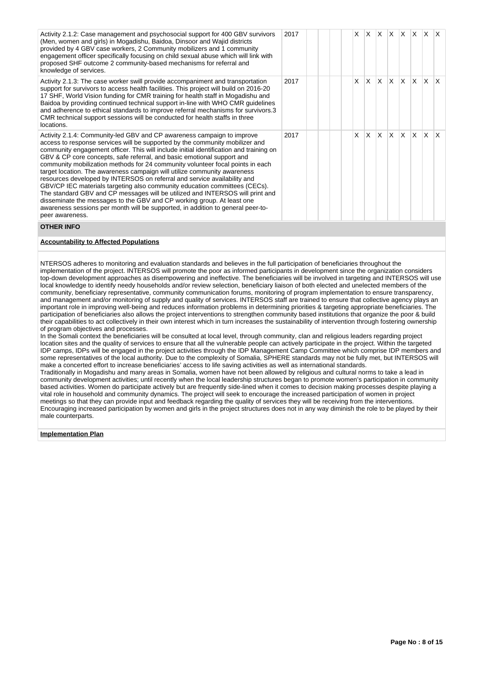| Activity 2.1.2: Case management and psychosocial support for 400 GBV survivors<br>(Men, women and girls) in Mogadishu, Baidoa, Dinsoor and Wajid districts<br>provided by 4 GBV case workers, 2 Community mobilizers and 1 community<br>engagement officer specifically focusing on child sexual abuse which will link with<br>proposed SHF outcome 2 community-based mechanisms for referral and<br>knowledge of services.                                                                                                                                                                                                                                                                                                                                                                                                                                                                                         | 2017 | X | $\times$     | $X$ $X$ $X$     |              |     | $\mathsf{X}$ | $\mathsf{X}$ |              |
|---------------------------------------------------------------------------------------------------------------------------------------------------------------------------------------------------------------------------------------------------------------------------------------------------------------------------------------------------------------------------------------------------------------------------------------------------------------------------------------------------------------------------------------------------------------------------------------------------------------------------------------------------------------------------------------------------------------------------------------------------------------------------------------------------------------------------------------------------------------------------------------------------------------------|------|---|--------------|-----------------|--------------|-----|--------------|--------------|--------------|
| Activity 2.1.3: The case worker swill provide accompaniment and transportation<br>support for survivors to access health facilities. This project will build on 2016-20<br>17 SHF, World Vision funding for CMR training for health staff in Mogadishu and<br>Baidoa by providing continued technical support in-line with WHO CMR guidelines<br>and adherence to ethical standards to improve referral mechanisms for survivors.3<br>CMR technical support sessions will be conducted for health staffs in three<br>locations.                                                                                                                                                                                                                                                                                                                                                                                     | 2017 | X | $\mathsf{x}$ | $X$ $X$ $X$ $X$ |              |     |              | $\mathsf{X}$ | $\mathsf{X}$ |
| Activity 2.1.4: Community-led GBV and CP awareness campaign to improve<br>access to response services will be supported by the community mobilizer and<br>community engagement officer. This will include initial identification and training on<br>GBV & CP core concepts, safe referral, and basic emotional support and<br>community mobilization methods for 24 community volunteer focal points in each<br>target location. The awareness campaign will utilize community awareness<br>resources developed by INTERSOS on referral and service availability and<br>GBV/CP IEC materials targeting also community education committees (CECs).<br>The standard GBV and CP messages will be utilized and INTERSOS will print and<br>disseminate the messages to the GBV and CP working group. At least one<br>awareness sessions per month will be supported, in addition to general peer-to-<br>peer awareness. | 2017 | X | IX.          | lx.             | $\mathsf{X}$ | lx. | $\mathsf{X}$ | $\mathsf{X}$ | $\mathsf{X}$ |

## **OTHER INFO**

## **Accountability to Affected Populations**

NTERSOS adheres to monitoring and evaluation standards and believes in the full participation of beneficiaries throughout the implementation of the project. INTERSOS will promote the poor as informed participants in development since the organization considers top-down development approaches as disempowering and ineffective. The beneficiaries will be involved in targeting and INTERSOS will use local knowledge to identify needy households and/or review selection, beneficiary liaison of both elected and unelected members of the community, beneficiary representative, community communication forums, monitoring of program implementation to ensure transparency, and management and/or monitoring of supply and quality of services. INTERSOS staff are trained to ensure that collective agency plays an important role in improving well-being and reduces information problems in determining priorities & targeting appropriate beneficiaries. The participation of beneficiaries also allows the project interventions to strengthen community based institutions that organize the poor & build their capabilities to act collectively in their own interest which in turn increases the sustainability of intervention through fostering ownership of program objectives and processes.

In the Somali context the beneficiaries will be consulted at local level, through community, clan and religious leaders regarding project location sites and the quality of services to ensure that all the vulnerable people can actively participate in the project. Within the targeted IDP camps, IDPs will be engaged in the project activities through the IDP Management Camp Committee which comprise IDP members and some representatives of the local authority. Due to the complexity of Somalia, SPHERE standards may not be fully met, but INTERSOS will make a concerted effort to increase beneficiaries' access to life saving activities as well as international standards. Traditionally in Mogadishu and many areas in Somalia, women have not been allowed by religious and cultural norms to take a lead in community development activities; until recently when the local leadership structures began to promote women's participation in community based activities. Women do participate actively but are frequently side-lined when it comes to decision making processes despite playing a vital role in household and community dynamics. The project will seek to encourage the increased participation of women in project meetings so that they can provide input and feedback regarding the quality of services they will be receiving from the interventions. Encouraging increased participation by women and girls in the project structures does not in any way diminish the role to be played by their male counterparts.

## **Implementation Plan**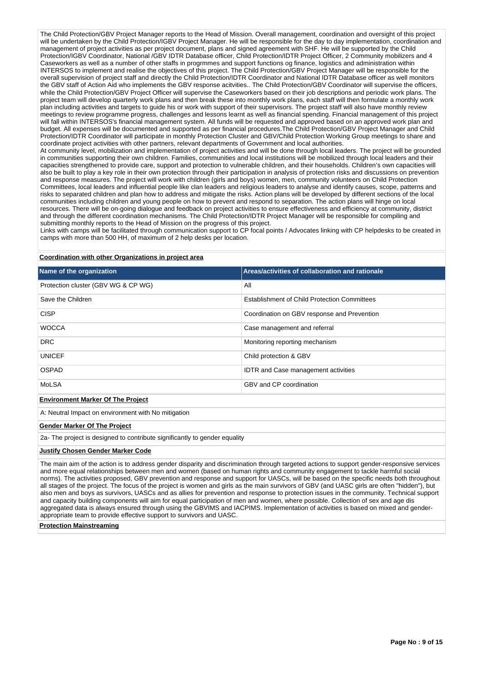The Child Protection/GBV Project Manager reports to the Head of Mission. Overall management, coordination and oversight of this project will be undertaken by the Child Protection/IGBV Project Manager. He will be responsible for the day to day implementation, coordination and management of project activities as per project document, plans and signed agreement with SHF. He will be supported by the Child Protection/IGBV Coordinator, National /GBV IDTR Database officer, Child Protection/IDTR Project Officer, 2 Community mobilizers and 4 Caseworkers as well as a number of other staffs in progrmmes and support functions og finance, logistics and administration within INTERSOS to implement and realise the objectives of this project. The Child Protection/GBV Project Manager will be responsible for the overall supervision of project staff and directly the Child Protection/IDTR Coordinator and National IDTR Database officer as well monitors the GBV staff of Action Aid who implements the GBV response acitvities.. The Child Protection/GBV Coordinator will supervise the officers, while the Child Protection/GBV Project Officer will supervise the Caseworkers based on their job descriptions and periodic work plans. The project team will develop quarterly work plans and then break these into monthly work plans, each staff will then formulate a monthly work plan including activities and targets to guide his or work with support of their supervisors. The project staff will also have monthly review meetings to review programme progress, challenges and lessons learnt as well as financial spending. Financial management of this project will fall within INTERSOS's financial management system. All funds will be requested and approved based on an approved work plan and budget. All expenses will be documented and supported as per financial procedures.The Child Protection/GBV Project Manager and Child Protection/IDTR Coordinator will participate in monthly Protection Cluster and GBV/Child Protection Working Group meetings to share and coordinate project activities with other partners, relevant departments of Government and local authorities. At community level, mobilization and implementation of project activities and will be done through local leaders. The project will be grounded

in communities supporting their own children. Families, communities and local institutions will be mobilized through local leaders and their capacities strengthened to provide care, support and protection to vulnerable children, and their households. Children's own capacities will also be built to play a key role in their own protection through their participation in analysis of protection risks and discussions on prevention and response measures. The project will work with children (girls and boys) women, men, community volunteers on Child Protection Committees, local leaders and influential people like clan leaders and religious leaders to analyse and identify causes, scope, patterns and risks to separated children and plan how to address and mitigate the risks. Action plans will be developed by different sections of the local communities including children and young people on how to prevent and respond to separation. The action plans will hinge on local resources. There will be on-going dialogue and feedback on project activities to ensure effectiveness and efficiency at community, district and through the different coordination mechanisms. The Child Protection/IDTR Project Manager will be responsible for compiling and submitting monthly reports to the Head of Mission on the progress of this project.

Links with camps will be facilitated through communication support to CP focal points / Advocates linking with CP helpdesks to be created in camps with more than 500 HH, of maximum of 2 help desks per location.

### **Coordination with other Organizations in project area**

| Name of the organization                            | Areas/activities of collaboration and rationale     |
|-----------------------------------------------------|-----------------------------------------------------|
| Protection cluster (GBV WG & CP WG)                 | All                                                 |
| Save the Children                                   | <b>Establishment of Child Protection Committees</b> |
| <b>CISP</b>                                         | Coordination on GBV response and Prevention         |
| <b>WOCCA</b>                                        | Case management and referral                        |
| <b>DRC</b>                                          | Monitoring reporting mechanism                      |
| <b>UNICEF</b>                                       | Child protection & GBV                              |
| <b>OSPAD</b>                                        | <b>IDTR</b> and Case management activities          |
| MoLSA                                               | GBV and CP coordination                             |
| <b>Environment Marker Of The Project</b>            |                                                     |
| A: Neutral Impact on environment with No mitigation |                                                     |

## **Gender Marker Of The Project**

2a- The project is designed to contribute significantly to gender equality

#### **Justify Chosen Gender Marker Code**

The main aim of the action is to address gender disparity and discrimination through targeted actions to support gender-responsive services and more equal relationships between men and women (based on human rights and community engagement to tackle harmful social norms). The activities proposed, GBV prevention and response and support for UASCs, will be based on the specific needs both throughout all stages of the project. The focus of the project is women and girls as the main survivors of GBV (and UASC girls are often "hidden"), but also men and boys as survivors, UASCs and as allies for prevention and response to protection issues in the community. Technical support and capacity building components will aim for equal participation of men and women, where possible. Collection of sex and age dis aggregated data is always ensured through using the GBVIMS and IACPIMS. Implementation of activities is based on mixed and genderappropriate team to provide effective support to survivors and UASC.

#### **Protection Mainstreaming**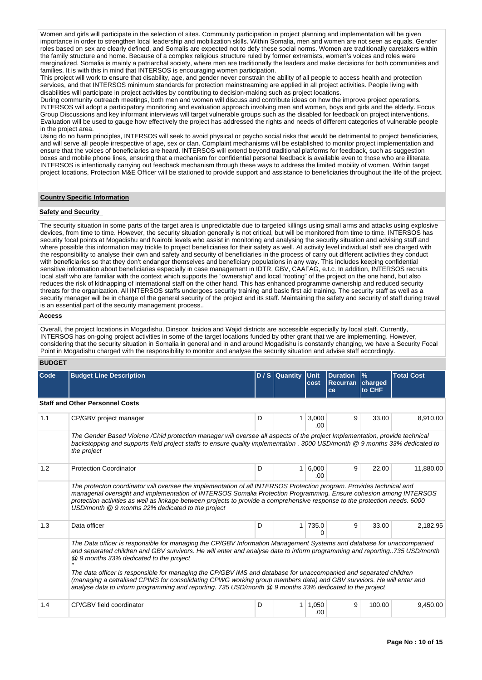Women and girls will participate in the selection of sites. Community participation in project planning and implementation will be given importance in order to strengthen local leadership and mobilization skills. Within Somalia, men and women are not seen as equals. Gender roles based on sex are clearly defined, and Somalis are expected not to defy these social norms. Women are traditionally caretakers within the family structure and home. Because of a complex religious structure ruled by former extremists, women's voices and roles were marginalized. Somalia is mainly a patriarchal society, where men are traditionally the leaders and make decisions for both communities and families. It is with this in mind that INTERSOS is encouraging women participation.

This project will work to ensure that disability, age, and gender never constrain the ability of all people to access health and protection services, and that INTERSOS minimum standards for protection mainstreaming are applied in all project activities. People living with disabilities will participate in project activities by contributing to decision-making such as project locations.

During community outreach meetings, both men and women will discuss and contribute ideas on how the improve project operations. INTERSOS will adopt a participatory monitoring and evaluation approach involving men and women, boys and girls and the elderly. Focus Group Discussions and key informant interviews will target vulnerable groups such as the disabled for feedback on project interventions. Evaluation will be used to gauge how effectively the project has addressed the rights and needs of different categories of vulnerable people in the project area.

Using do no harm principles, INTERSOS will seek to avoid physical or psycho social risks that would be detrimental to project beneficiaries, and will serve all people irrespective of age, sex or clan. Complaint mechanisms will be established to monitor project implementation and ensure that the voices of beneficiaries are heard. INTERSOS will extend beyond traditional platforms for feedback, such as suggestion boxes and mobile phone lines, ensuring that a mechanism for confidential personal feedback is available even to those who are illiterate. INTERSOS is intentionally carrying out feedback mechanism through these ways to address the limited mobility of women, Within target project locations, Protection M&E Officer will be stationed to provide support and assistance to beneficiaries throughout the life of the project.

## **Country Specific Information**

#### **Safety and Security**

The security situation in some parts of the target area is unpredictable due to targeted killings using small arms and attacks using explosive devices, from time to time. However, the security situation generally is not critical, but will be monitored from time to time. INTERSOS has security focal points at Mogadishu and Nairobi levels who assist in monitoring and analysing the security situation and advising staff and where possible this information may trickle to project beneficiaries for their safety as well. At activity level individual staff are charged with the responsibility to analyse their own and safety and security of beneficiaries in the process of carry out different activities they conduct with beneficiaries so that they don't endanger themselves and beneficiary populations in any way. This includes keeping confidential sensitive information about beneficiaries especially in case management in IDTR, GBV, CAAFAG, e.t.c. In addition, INTERSOS recruits local staff who are familiar with the context which supports the "ownership" and local "rooting" of the project on the one hand, but also reduces the risk of kidnapping of international staff on the other hand. This has enhanced programme ownership and reduced security threats for the organization. All INTERSOS staffs undergoes security training and basic first aid training. The security staff as well as a security manager will be in charge of the general security of the project and its staff. Maintaining the safety and security of staff during travel is an essential part of the security management process..

## **Access**

Overall, the project locations in Mogadishu, Dinsoor, baidoa and Wajid districts are accessible especially by local staff. Currently, INTERSOS has on-going project activities in some of the target locations funded by other grant that we are implementing. However, considering that the security situation in Somalia in general and in and around Mogadishu is constantly changing, we have a Security Focal Point in Mogadishu charged with the responsibility to monitor and analyse the security situation and advise staff accordingly.

## **BUDGET**

| Code | <b>Budget Line Description</b>                                                                                                                                                                                                                                                                                                                                                                                                                                                                                                             |   | $D / S$ Quantity | l Unit        | <b>Duration</b>       | $\frac{9}{6}$     | <b>Total Cost</b> |
|------|--------------------------------------------------------------------------------------------------------------------------------------------------------------------------------------------------------------------------------------------------------------------------------------------------------------------------------------------------------------------------------------------------------------------------------------------------------------------------------------------------------------------------------------------|---|------------------|---------------|-----------------------|-------------------|-------------------|
|      |                                                                                                                                                                                                                                                                                                                                                                                                                                                                                                                                            |   |                  | cost          | <b>Recurran</b><br>ce | charged<br>to CHF |                   |
|      | <b>Staff and Other Personnel Costs</b>                                                                                                                                                                                                                                                                                                                                                                                                                                                                                                     |   |                  |               |                       |                   |                   |
| 1.1  | CP/GBV project manager                                                                                                                                                                                                                                                                                                                                                                                                                                                                                                                     | D | 1                | 3,000<br>.00. | 9                     | 33.00             | 8,910.00          |
|      | The Gender Based Violcne /Chid protection manager will oversee all aspects of the project Implementation, provide technical<br>backstopping and supports field project staffs to ensure quality implementation . 3000 USD/month @ 9 months 33% dedicated to<br>the project                                                                                                                                                                                                                                                                 |   |                  |               |                       |                   |                   |
| 1.2  | <b>Protection Coordinator</b>                                                                                                                                                                                                                                                                                                                                                                                                                                                                                                              | D | 1                | 6,000<br>.00  | 9                     | 22.00             | 11.880.00         |
|      | The protecton coordinator will oversee the implementation of all INTERSOS Protection program. Provides technical and<br>managerial oversight and implementation of INTERSOS Somalia Protection Programming. Ensure cohesion among INTERSOS<br>protection activities as well as linkage between projects to provide a comprehensive response to the protection needs. 6000<br>USD/month @ 9 months 22% dedicated to the project                                                                                                             |   |                  |               |                       |                   |                   |
| 1.3  | Data officer                                                                                                                                                                                                                                                                                                                                                                                                                                                                                                                               | D | $\mathbf{1}$     | 735.0<br>0    | 9                     | 33.00             | 2,182.95          |
|      | The Data officer is responsible for managing the CP/GBV Information Management Systems and database for unaccompanied<br>and separated children and GBV survivors. He will enter and analyse data to inform programming and reporting735 USD/month<br>@ 9 months 33% dedicated to the project<br>The data officer is responsible for managing the CP/GBV IMS and database for unaccompanied and separated children<br>(managing a cetralised CPIMS for consolidating CPWG working group members data) and GBV survviors. He will enter and |   |                  |               |                       |                   |                   |
|      | analyse data to inform programming and reporting. 735 USD/month @ 9 months 33% dedicated to the project                                                                                                                                                                                                                                                                                                                                                                                                                                    |   |                  |               |                       |                   |                   |
| 1.4  | CP/GBV field coordinator                                                                                                                                                                                                                                                                                                                                                                                                                                                                                                                   | D | 1                | 1,050<br>.00  | 9                     | 100.00            | 9,450.00          |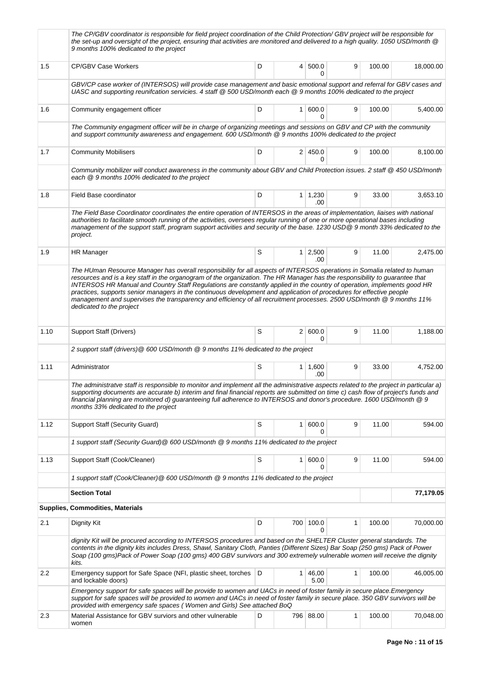|      | The CP/GBV coordinator is responsible for field project coordination of the Child Protection/ GBV project will be responsible for<br>the set-up and oversight of the project, ensuring that activities are monitored and delivered to a high quality. 1050 USD/month @<br>9 months 100% dedicated to the project                                                                                                                                                                                                                                                                                                                                                |             |                       |              |        |           |
|------|-----------------------------------------------------------------------------------------------------------------------------------------------------------------------------------------------------------------------------------------------------------------------------------------------------------------------------------------------------------------------------------------------------------------------------------------------------------------------------------------------------------------------------------------------------------------------------------------------------------------------------------------------------------------|-------------|-----------------------|--------------|--------|-----------|
| 1.5  | <b>CP/GBV Case Workers</b>                                                                                                                                                                                                                                                                                                                                                                                                                                                                                                                                                                                                                                      | D           | 4 500.0<br>0          | 9            | 100.00 | 18,000.00 |
|      | GBV/CP case worker of (INTERSOS) will provide case management and basic emotional support and referral for GBV cases and<br>UASC and supporting reunifcation servicies. 4 staff @ 500 USD/month each @ 9 months 100% dedicated to the project                                                                                                                                                                                                                                                                                                                                                                                                                   |             |                       |              |        |           |
| 1.6  | Community engagement officer                                                                                                                                                                                                                                                                                                                                                                                                                                                                                                                                                                                                                                    | D           | 1 600.0<br>0          | 9            | 100.00 | 5,400.00  |
|      | The Community engagment officer will be in charge of organizing meetings and sessions on GBV and CP with the community<br>and support community awareness and engagement. 600 USD/month @ 9 months 100% dedicated to the project                                                                                                                                                                                                                                                                                                                                                                                                                                |             |                       |              |        |           |
| 1.7  | <b>Community Mobilisers</b>                                                                                                                                                                                                                                                                                                                                                                                                                                                                                                                                                                                                                                     | D           | 2 450.0<br>0          | 9            | 100.00 | 8,100.00  |
|      | Community mobilizer will conduct awareness in the community about GBV and Child Protection issues. 2 staff @ 450 USD/month<br>each @ 9 months 100% dedicated to the project                                                                                                                                                                                                                                                                                                                                                                                                                                                                                     |             |                       |              |        |           |
| 1.8  | Field Base coordinator                                                                                                                                                                                                                                                                                                                                                                                                                                                                                                                                                                                                                                          | D           | $1 \mid 1,230$<br>.00 | 9            | 33.00  | 3,653.10  |
|      | The Field Base Coordinator coordinates the entire operation of INTERSOS in the areas of implementation, liaises with national<br>authorities to facilitate smooth running of the activities, oversees regular running of one or more operational bases including<br>management of the support staff, program support activities and security of the base. 1230 USD@9 month 33% dedicated to the<br>project.                                                                                                                                                                                                                                                     |             |                       |              |        |           |
| 1.9  | <b>HR Manager</b>                                                                                                                                                                                                                                                                                                                                                                                                                                                                                                                                                                                                                                               | S           | $1 \mid 2,500$<br>.00 | 9            | 11.00  | 2,475.00  |
|      | The HUman Resource Manager has overall responsibility for all aspects of INTERSOS operations in Somalia related to human<br>resources and is a key staff in the organogram of the organization. The HR Manager has the responsibility to guarantee that<br>INTERSOS HR Manual and Country Staff Regulations are constantly applied in the country of operation, implements good HR<br>practices, supports senior managers in the continuous development and application of procedures for effective people<br>management and supervises the transparency and efficiency of all recruitment processes. 2500 USD/month @ 9 months 11%<br>dedicated to the project |             |                       |              |        |           |
| 1.10 | Support Staff (Drivers)                                                                                                                                                                                                                                                                                                                                                                                                                                                                                                                                                                                                                                         | S           | 2   600.0<br>$\Omega$ | 9            | 11.00  | 1,188.00  |
|      | 2 support staff (drivers) @ 600 USD/month @ 9 months 11% dedicated to the project                                                                                                                                                                                                                                                                                                                                                                                                                                                                                                                                                                               |             |                       |              |        |           |
| 1.11 | Administrator                                                                                                                                                                                                                                                                                                                                                                                                                                                                                                                                                                                                                                                   | S           | $1 \mid 1,600$<br>.00 | 9            | 33.00  | 4,752.00  |
|      | The administratve staff is responsible to monitor and implement all the administrative aspects related to the project in particular a)<br>supporting documents are accurate b) interim and final financial reports are submitted on time c) cash flow of project's funds and<br>financial planning are monitored d) guaranteeing full adherence to INTERSOS and donor's procedure. 1600 USD/month @ 9<br>months 33% dedicated to the project                                                                                                                                                                                                                    |             |                       |              |        |           |
| 1.12 | Support Staff (Security Guard)                                                                                                                                                                                                                                                                                                                                                                                                                                                                                                                                                                                                                                  | S           | 1 600.0<br>0          | 9            | 11.00  | 594.00    |
|      | 1 support staff (Security Guard) @ 600 USD/month @ 9 months 11% dedicated to the project                                                                                                                                                                                                                                                                                                                                                                                                                                                                                                                                                                        |             |                       |              |        |           |
| 1.13 | Support Staff (Cook/Cleaner)                                                                                                                                                                                                                                                                                                                                                                                                                                                                                                                                                                                                                                    | $\mathbb S$ | 1   600.0             | 9            | 11.00  | 594.00    |
|      | 1 support staff (Cook/Cleaner) @ 600 USD/month @ 9 months 11% dedicated to the project                                                                                                                                                                                                                                                                                                                                                                                                                                                                                                                                                                          |             |                       |              |        |           |
|      | <b>Section Total</b>                                                                                                                                                                                                                                                                                                                                                                                                                                                                                                                                                                                                                                            |             |                       |              |        | 77,179.05 |
|      | Supplies, Commodities, Materials                                                                                                                                                                                                                                                                                                                                                                                                                                                                                                                                                                                                                                |             |                       |              |        |           |
| 2.1  | Dignity Kit                                                                                                                                                                                                                                                                                                                                                                                                                                                                                                                                                                                                                                                     | D           | 700 100.0<br>0        | $\mathbf{1}$ | 100.00 | 70,000.00 |
|      | dignity Kit will be procured according to INTERSOS procedures and based on the SHELTER Cluster general standards. The<br>contents in the dignity kits includes Dress, Shawl, Sanitary Cloth, Panties (Different Sizes) Bar Soap (250 gms) Pack of Power<br>Soap (100 gms)Pack of Power Soap (100 gms) 400 GBV survivors and 300 extremely vulnerable women will receive the dignity<br>kits.                                                                                                                                                                                                                                                                    |             |                       |              |        |           |
| 2.2  | Emergency support for Safe Space (NFI, plastic sheet, torches<br>and lockable doors)                                                                                                                                                                                                                                                                                                                                                                                                                                                                                                                                                                            | D           | $1 \, 46,00$<br>5.00  | 1            | 100.00 | 46,005.00 |
|      | Emergency support for safe spaces will be provide to women and UACs in need of foster family in secure place.Emergency<br>support for safe spaces will be provided to women and UACs in need of foster family in secure place. 350 GBV survivors will be<br>provided with emergency safe spaces (Women and Girls) See attached BoQ                                                                                                                                                                                                                                                                                                                              |             |                       |              |        |           |
| 2.3  | Material Assistance for GBV surviors and other vulnerable<br>women                                                                                                                                                                                                                                                                                                                                                                                                                                                                                                                                                                                              | D           | 796 88.00             | 1            | 100.00 | 70,048.00 |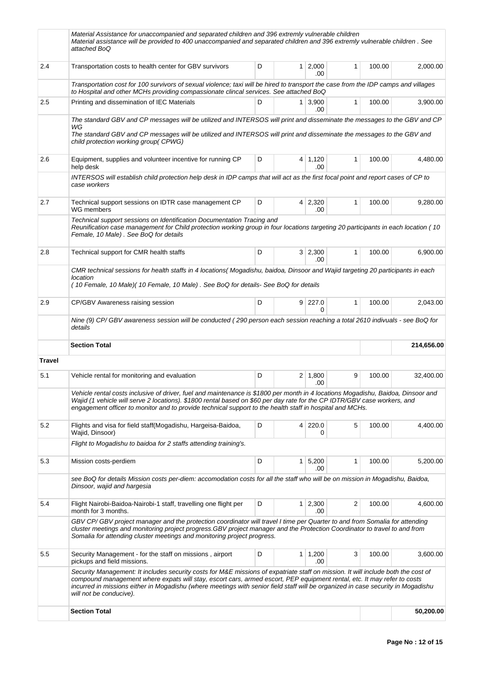|               | Material Assistance for unaccompanied and separated children and 396 extremly vulnerable children<br>Material assistance will be provided to 400 unaccompanied and separated children and 396 extremly vulnerable children. See<br>attached BoQ                                                                                                                                                                             |   |  |                       |                         |        |            |  |  |
|---------------|-----------------------------------------------------------------------------------------------------------------------------------------------------------------------------------------------------------------------------------------------------------------------------------------------------------------------------------------------------------------------------------------------------------------------------|---|--|-----------------------|-------------------------|--------|------------|--|--|
| 2.4           | Transportation costs to health center for GBV survivors                                                                                                                                                                                                                                                                                                                                                                     | D |  | $1 \mid 2,000$<br>.00 | $\mathbf{1}$            | 100.00 | 2,000.00   |  |  |
|               | Transportation cost for 100 survivors of sexual violence; taxi will be hired to transport the case from the IDP camps and villages<br>to Hospital and other MCHs providing compassionate clincal services. See attached BoQ                                                                                                                                                                                                 |   |  |                       |                         |        |            |  |  |
| 2.5           | Printing and dissemination of IEC Materials                                                                                                                                                                                                                                                                                                                                                                                 | D |  | $1 \mid 3,900$<br>.00 | $\mathbf{1}$            | 100.00 | 3,900.00   |  |  |
|               | The standard GBV and CP messages will be utilized and INTERSOS will print and disseminate the messages to the GBV and CP                                                                                                                                                                                                                                                                                                    |   |  |                       |                         |        |            |  |  |
|               | WG<br>The standard GBV and CP messages will be utilized and INTERSOS will print and disseminate the messages to the GBV and<br>child protection working group(CPWG)                                                                                                                                                                                                                                                         |   |  |                       |                         |        |            |  |  |
| 2.6           | Equipment, supplies and volunteer incentive for running CP<br>help desk                                                                                                                                                                                                                                                                                                                                                     | D |  | $4 \mid 1,120$<br>.00 | $\mathbf{1}$            | 100.00 | 4,480.00   |  |  |
|               | INTERSOS will establish child protection help desk in IDP camps that will act as the first focal point and report cases of CP to<br>case workers                                                                                                                                                                                                                                                                            |   |  |                       |                         |        |            |  |  |
| 2.7           | Technical support sessions on IDTR case management CP<br>WG members                                                                                                                                                                                                                                                                                                                                                         | D |  | $4 \mid 2,320$<br>.00 | $\mathbf{1}$            | 100.00 | 9,280.00   |  |  |
|               | Technical support sessions on Identification Documentation Tracing and<br>Reunification case management for Child protection working group in four locations targeting 20 participants in each location (10<br>Female, 10 Male). See BoQ for details                                                                                                                                                                        |   |  |                       |                         |        |            |  |  |
| 2.8           | Technical support for CMR health staffs                                                                                                                                                                                                                                                                                                                                                                                     | D |  | 3 2,300<br>.00        | 1                       | 100.00 | 6,900.00   |  |  |
|               | CMR technical sessions for health staffs in 4 locations( Mogadishu, baidoa, Dinsoor and Wajid targeting 20 participants in each<br>location<br>(10 Female, 10 Male) (10 Female, 10 Male). See BoQ for details- See BoQ for details                                                                                                                                                                                          |   |  |                       |                         |        |            |  |  |
| 2.9           | CP/GBV Awareness raising session                                                                                                                                                                                                                                                                                                                                                                                            | D |  | $9$ 227.0<br>0        | $\mathbf{1}$            | 100.00 | 2,043.00   |  |  |
|               | Nine (9) CP/ GBV awareness session will be conducted (290 person each session reaching a total 2610 indivuals - see BoQ for<br>details                                                                                                                                                                                                                                                                                      |   |  |                       |                         |        |            |  |  |
|               | <b>Section Total</b>                                                                                                                                                                                                                                                                                                                                                                                                        |   |  |                       |                         |        | 214,656.00 |  |  |
| <b>Travel</b> |                                                                                                                                                                                                                                                                                                                                                                                                                             |   |  |                       |                         |        |            |  |  |
| 5.1           | Vehicle rental for monitoring and evaluation                                                                                                                                                                                                                                                                                                                                                                                | D |  | $2 \mid 1,800$<br>.00 | 9                       | 100.00 | 32,400.00  |  |  |
|               | Vehicle rental costs inclusive of driver, fuel and maintenance is \$1800 per month in 4 locations Mogadishu, Baidoa, Dinsoor and<br>Wajid (1 vehicle will serve 2 locations). \$1800 rental based on \$60 per day rate for the CP IDTR/GBV case workers, and<br>engagement officer to monitor and to provide technical support to the health staff in hospital and MCHs.                                                    |   |  |                       |                         |        |            |  |  |
| 5.2           | Flights and visa for field staff (Mogadishu, Hargeisa-Baidoa,<br>Wajid, Dinsoor)                                                                                                                                                                                                                                                                                                                                            | D |  | 4 220.0<br>0          | 5                       | 100.00 | 4,400.00   |  |  |
|               | Flight to Mogadishu to baidoa for 2 staffs attending training's.                                                                                                                                                                                                                                                                                                                                                            |   |  |                       |                         |        |            |  |  |
| 5.3           | Mission costs-perdiem                                                                                                                                                                                                                                                                                                                                                                                                       | D |  | 1 5,200<br>.00        | 1                       | 100.00 | 5,200.00   |  |  |
|               | see BoQ for details Mission costs per-diem: accomodation costs for all the staff who will be on mission in Mogadishu, Baidoa,<br>Dinsoor, wajid and hargesia                                                                                                                                                                                                                                                                |   |  |                       |                         |        |            |  |  |
| 5.4           | Flight Nairobi-Baidoa-Nairobi-1 staff, travelling one flight per<br>month for 3 months.                                                                                                                                                                                                                                                                                                                                     | D |  | $1 \mid 2,300$<br>.00 | $\overline{\mathbf{c}}$ | 100.00 | 4,600.00   |  |  |
|               | GBV CP/ GBV project manager and the protection coordinator will travel I time per Quarter to and from Somalia for attending<br>cluster meetings and monitoring project progress.GBV project manager and the Protection Coordinator to travel to and from<br>Somalia for attending cluster meetings and monitoring project progress.                                                                                         |   |  |                       |                         |        |            |  |  |
| 5.5           | Security Management - for the staff on missions, airport<br>pickups and field missions.                                                                                                                                                                                                                                                                                                                                     | D |  | $1 \mid 1,200$<br>.00 | 3                       | 100.00 | 3,600.00   |  |  |
|               | Security Management: It includes security costs for M&E missions of expatriate staff on mission. It will include both the cost of<br>compound management where expats will stay, escort cars, armed escort, PEP equipment rental, etc. It may refer to costs<br>incurred in missions either in Mogadishu (where meetings with senior field staff will be organized in case security in Mogadishu<br>will not be conducive). |   |  |                       |                         |        |            |  |  |
|               | <b>Section Total</b>                                                                                                                                                                                                                                                                                                                                                                                                        |   |  |                       |                         |        | 50,200.00  |  |  |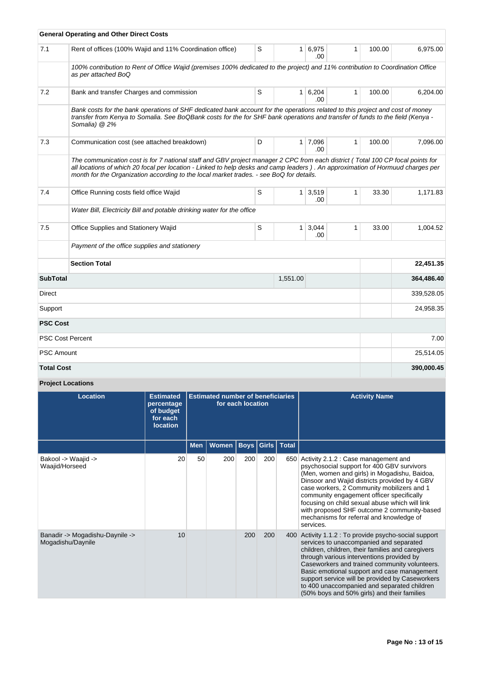|                             | <b>General Operating and Other Direct Costs</b>                                                                                                                                                                                                                                                                                                             |                  |                |                       |              |        |            |
|-----------------------------|-------------------------------------------------------------------------------------------------------------------------------------------------------------------------------------------------------------------------------------------------------------------------------------------------------------------------------------------------------------|------------------|----------------|-----------------------|--------------|--------|------------|
| 7.1                         | Rent of offices (100% Wajid and 11% Coordination office)                                                                                                                                                                                                                                                                                                    | S                |                | 1 6,975<br>.00.       | 1            | 100.00 | 6,975.00   |
|                             | 100% contribution to Rent of Office Wajid (premises 100% dedicated to the project) and 11% contribution to Coordination Office<br>as per attached BoQ                                                                                                                                                                                                       |                  |                |                       |              |        |            |
| 7.2                         | Bank and transfer Charges and commission                                                                                                                                                                                                                                                                                                                    | S<br>$1 \ 6,204$ |                | .00                   | $\mathbf{1}$ | 100.00 | 6,204.00   |
|                             | Bank costs for the bank operations of SHF dedicated bank account for the operations related to this project and cost of money<br>transfer from Kenya to Somalia. See BoQBank costs for the for SHF bank operations and transfer of funds to the field (Kenya -<br>Somalia) @ 2%                                                                             |                  |                |                       |              |        |            |
| 7.3                         | Communication cost (see attached breakdown)                                                                                                                                                                                                                                                                                                                 | D                |                | 1 7,096<br>.00.       | 1            | 100.00 | 7,096.00   |
|                             | The communication cost is for 7 national staff and GBV project manager 2 CPC from each district (Total 100 CP focal points for<br>all locations of which 20 focal per location - Linked to help desks and camp leaders). An approximation of Hormuud charges per<br>month for the Organization according to the local market trades. - see BoQ for details. |                  |                |                       |              |        |            |
| 7.4                         | Office Running costs field office Wajid                                                                                                                                                                                                                                                                                                                     | S                |                | $1 \mid 3,519$<br>.00 | 1            | 33.30  | 1,171.83   |
|                             | Water Bill, Electricity Bill and potable drinking water for the office                                                                                                                                                                                                                                                                                      |                  |                |                       |              |        |            |
| 7.5                         | Office Supplies and Stationery Wajid                                                                                                                                                                                                                                                                                                                        | S                | 1 <sup>1</sup> | 3,044<br>.00          | $\mathbf{1}$ | 33.00  | 1.004.52   |
|                             | Payment of the office supplies and stationery                                                                                                                                                                                                                                                                                                               |                  |                |                       |              |        |            |
|                             | <b>Section Total</b>                                                                                                                                                                                                                                                                                                                                        |                  |                |                       |              |        | 22,451.35  |
| <b>SubTotal</b><br>1,551.00 |                                                                                                                                                                                                                                                                                                                                                             |                  |                |                       |              |        | 364,486.40 |
| Direct                      |                                                                                                                                                                                                                                                                                                                                                             |                  |                |                       |              |        | 339,528.05 |
| Support                     |                                                                                                                                                                                                                                                                                                                                                             |                  |                |                       |              |        | 24,958.35  |
| <b>PSC Cost</b>             |                                                                                                                                                                                                                                                                                                                                                             |                  |                |                       |              |        |            |
|                             | <b>PSC Cost Percent</b>                                                                                                                                                                                                                                                                                                                                     |                  |                |                       |              |        | 7.00       |
| <b>PSC Amount</b>           |                                                                                                                                                                                                                                                                                                                                                             |                  |                |                       |              |        | 25,514.05  |
| <b>Total Cost</b>           |                                                                                                                                                                                                                                                                                                                                                             |                  |                |                       |              |        | 390,000.45 |

# **Project Locations**

| <b>Location</b>                                      | <b>Estimated</b><br>percentage<br>of budget<br>for each<br><b>location</b> | <b>Estimated number of beneficiaries</b><br>for each location |       |                         |     |     | <b>Activity Name</b>                                                                                                                                                                                                                                                                                                                                                                                                                            |
|------------------------------------------------------|----------------------------------------------------------------------------|---------------------------------------------------------------|-------|-------------------------|-----|-----|-------------------------------------------------------------------------------------------------------------------------------------------------------------------------------------------------------------------------------------------------------------------------------------------------------------------------------------------------------------------------------------------------------------------------------------------------|
|                                                      |                                                                            | <b>Men</b>                                                    | Women | <b>Boys Girls Total</b> |     |     |                                                                                                                                                                                                                                                                                                                                                                                                                                                 |
| Bakool -> Waajid -><br>Waajid/Horseed                | 20                                                                         | 50                                                            | 200   | 200                     | 200 | 650 | Activity 2.1.2 : Case management and<br>psychosocial support for 400 GBV survivors<br>(Men, women and girls) in Mogadishu, Baidoa,<br>Dinsoor and Wajid districts provided by 4 GBV<br>case workers, 2 Community mobilizers and 1<br>community engagement officer specifically<br>focusing on child sexual abuse which will link<br>with proposed SHF outcome 2 community-based<br>mechanisms for referral and knowledge of<br>services.        |
| Banadir -> Mogadishu-Daynile -><br>Mogadishu/Daynile | 10                                                                         |                                                               |       | 200                     | 200 | 400 | Activity 1.1.2 : To provide psycho-social support<br>services to unaccompanied and separated<br>children, children, their families and caregivers<br>through various interventions provided by<br>Caseworkers and trained community volunteers.<br>Basic emotional support and case management<br>support service will be provided by Caseworkers<br>to 400 unaccompanied and separated children<br>(50% boys and 50% girls) and their families |